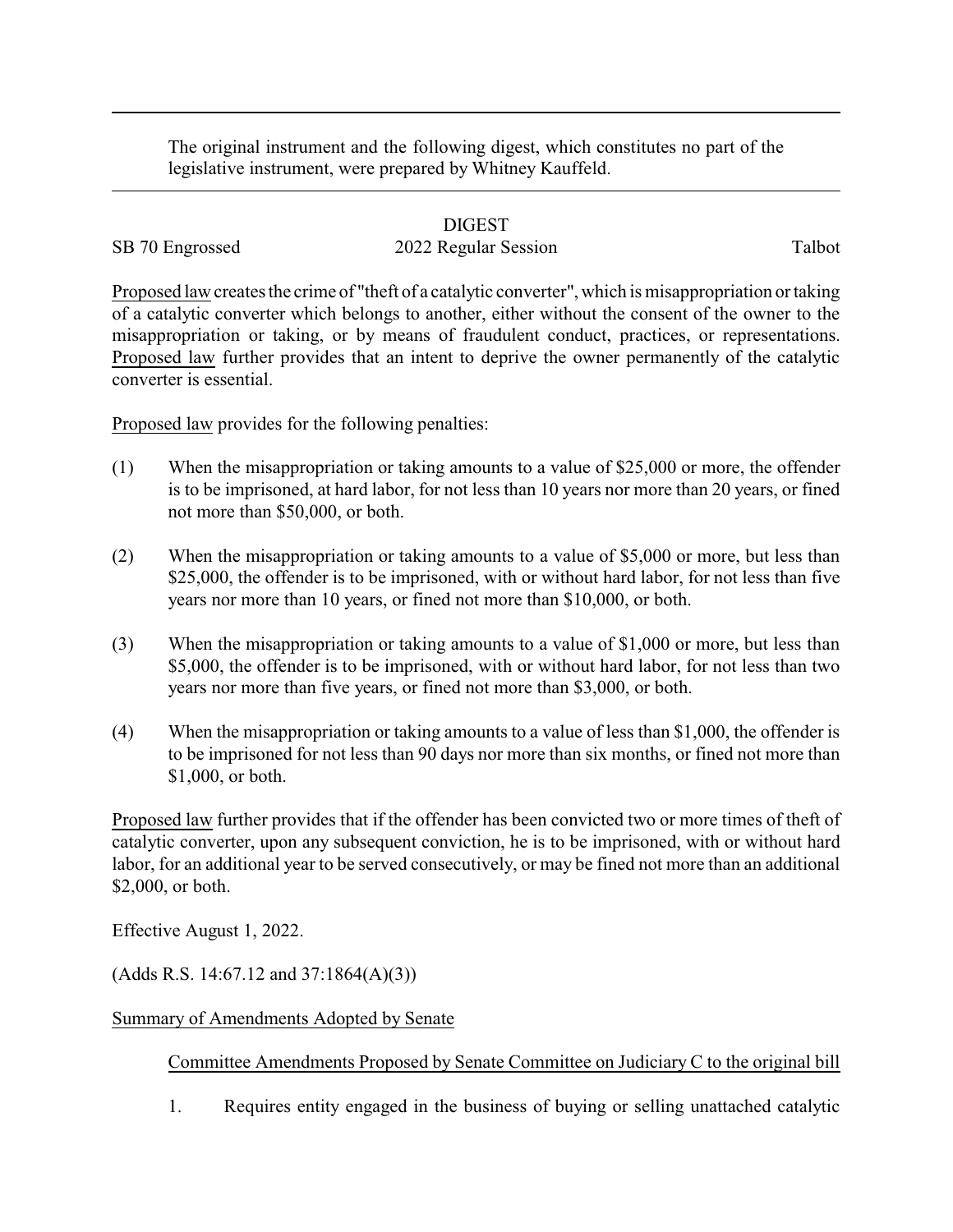The original instrument and the following digest, which constitutes no part of the legislative instrument, were prepared by Whitney Kauffeld.

## DIGEST

## SB 70 Engrossed 2022 Regular Session Talbot

Proposed law creates the crime of "theft of a catalytic converter", which is misappropriation or taking of a catalytic converter which belongs to another, either without the consent of the owner to the misappropriation or taking, or by means of fraudulent conduct, practices, or representations. Proposed law further provides that an intent to deprive the owner permanently of the catalytic converter is essential.

Proposed law provides for the following penalties:

- (1) When the misappropriation or taking amounts to a value of \$25,000 or more, the offender is to be imprisoned, at hard labor, for not less than 10 years nor more than 20 years, or fined not more than \$50,000, or both.
- (2) When the misappropriation or taking amounts to a value of \$5,000 or more, but less than \$25,000, the offender is to be imprisoned, with or without hard labor, for not less than five years nor more than 10 years, or fined not more than \$10,000, or both.
- (3) When the misappropriation or taking amounts to a value of \$1,000 or more, but less than \$5,000, the offender is to be imprisoned, with or without hard labor, for not less than two years nor more than five years, or fined not more than \$3,000, or both.
- (4) When the misappropriation or taking amounts to a value of less than \$1,000, the offender is to be imprisoned for not less than 90 days nor more than six months, or fined not more than \$1,000, or both.

Proposed law further provides that if the offender has been convicted two or more times of theft of catalytic converter, upon any subsequent conviction, he is to be imprisoned, with or without hard labor, for an additional year to be served consecutively, or may be fined not more than an additional \$2,000, or both.

Effective August 1, 2022.

 $(Adds R.S. 14:67.12 and 37:1864(A)(3))$ 

## Summary of Amendments Adopted by Senate

Committee Amendments Proposed by Senate Committee on Judiciary C to the original bill

1. Requires entity engaged in the business of buying or selling unattached catalytic